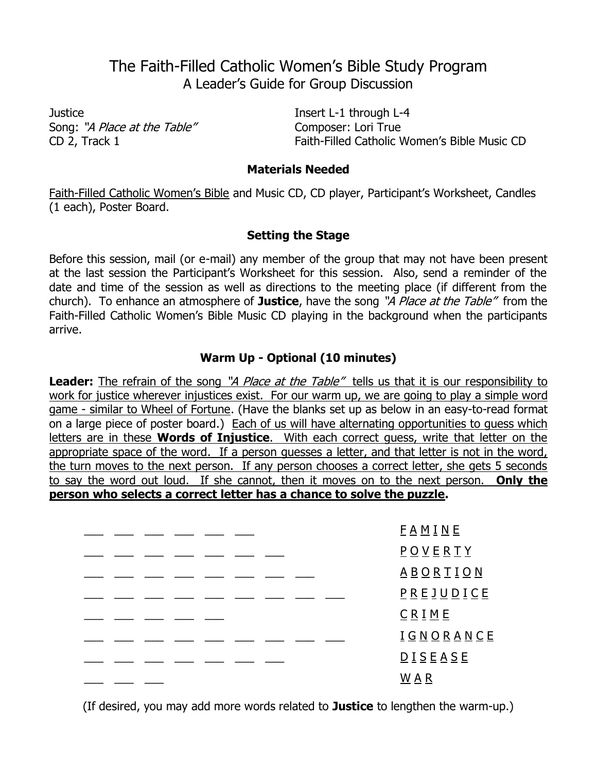# The Faith-Filled Catholic Women's Bible Study Program A Leader's Guide for Group Discussion

Justice **Insert L-1** through L-4 Song: "A Place at the Table" Composer: Lori True

CD 2, Track 1 Faith-Filled Catholic Women's Bible Music CD

#### **Materials Needed**

Faith-Filled Catholic Women's Bible and Music CD, CD player, Participant's Worksheet, Candles (1 each), Poster Board.

## **Setting the Stage**

Before this session, mail (or e-mail) any member of the group that may not have been present at the last session the Participant's Worksheet for this session. Also, send a reminder of the date and time of the session as well as directions to the meeting place (if different from the church). To enhance an atmosphere of **Justice**, have the song "A Place at the Table" from the Faith-Filled Catholic Women's Bible Music CD playing in the background when the participants arrive.

# **Warm Up - Optional (10 minutes)**

**Leader:** The refrain of the song "A Place at the Table" tells us that it is our responsibility to work for justice wherever injustices exist. For our warm up, we are going to play a simple word game - similar to Wheel of Fortune. (Have the blanks set up as below in an easy-to-read format on a large piece of poster board.) Each of us will have alternating opportunities to guess which letters are in these **Words of Injustice**. With each correct guess, write that letter on the appropriate space of the word. If a person quesses a letter, and that letter is not in the word, the turn moves to the next person. If any person chooses a correct letter, she gets 5 seconds to say the word out loud. If she cannot, then it moves on to the next person. **Only the person who selects a correct letter has a chance to solve the puzzle.**

| E A M I N E                                                                                                     |
|-----------------------------------------------------------------------------------------------------------------|
| $\underline{P}$ $\underline{O}$ $\underline{V}$ $\underline{E}$ $\underline{R}$ $\underline{T}$ $\underline{Y}$ |
| <u>ABORTION</u>                                                                                                 |
| $P$ R E J U D I C E                                                                                             |
| $C$ $R$ $I$ $M$ $E$                                                                                             |
| <u>IGNORANCE</u>                                                                                                |
| D I S E A S E                                                                                                   |
| <u>W A R</u>                                                                                                    |

(If desired, you may add more words related to **Justice** to lengthen the warm-up.)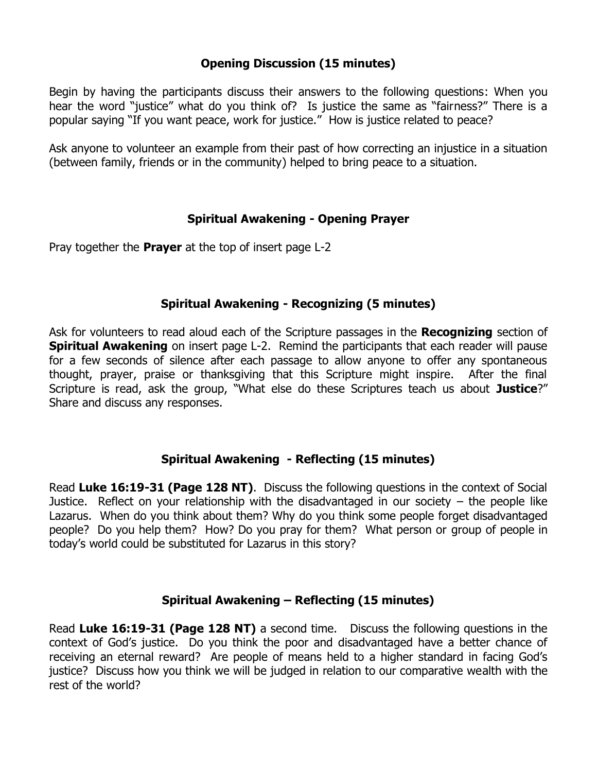# **Opening Discussion (15 minutes)**

Begin by having the participants discuss their answers to the following questions: When you hear the word "justice" what do you think of? Is justice the same as "fairness?" There is a popular saying "If you want peace, work for justice." How is justice related to peace?

Ask anyone to volunteer an example from their past of how correcting an injustice in a situation (between family, friends or in the community) helped to bring peace to a situation.

## **Spiritual Awakening - Opening Prayer**

Pray together the **Prayer** at the top of insert page L-2

#### **Spiritual Awakening - Recognizing (5 minutes)**

Ask for volunteers to read aloud each of the Scripture passages in the **Recognizing** section of **Spiritual Awakening** on insert page L-2. Remind the participants that each reader will pause for a few seconds of silence after each passage to allow anyone to offer any spontaneous thought, prayer, praise or thanksgiving that this Scripture might inspire. After the final Scripture is read, ask the group, "What else do these Scriptures teach us about **Justice**?" Share and discuss any responses.

#### **Spiritual Awakening - Reflecting (15 minutes)**

Read **Luke 16:19-31 (Page 128 NT)**. Discuss the following questions in the context of Social Justice. Reflect on your relationship with the disadvantaged in our society  $-$  the people like Lazarus. When do you think about them? Why do you think some people forget disadvantaged people? Do you help them? How? Do you pray for them? What person or group of people in today's world could be substituted for Lazarus in this story?

#### **Spiritual Awakening – Reflecting (15 minutes)**

Read **Luke 16:19-31 (Page 128 NT)** a second time. Discuss the following questions in the context of God's justice. Do you think the poor and disadvantaged have a better chance of receiving an eternal reward? Are people of means held to a higher standard in facing God's justice? Discuss how you think we will be judged in relation to our comparative wealth with the rest of the world?